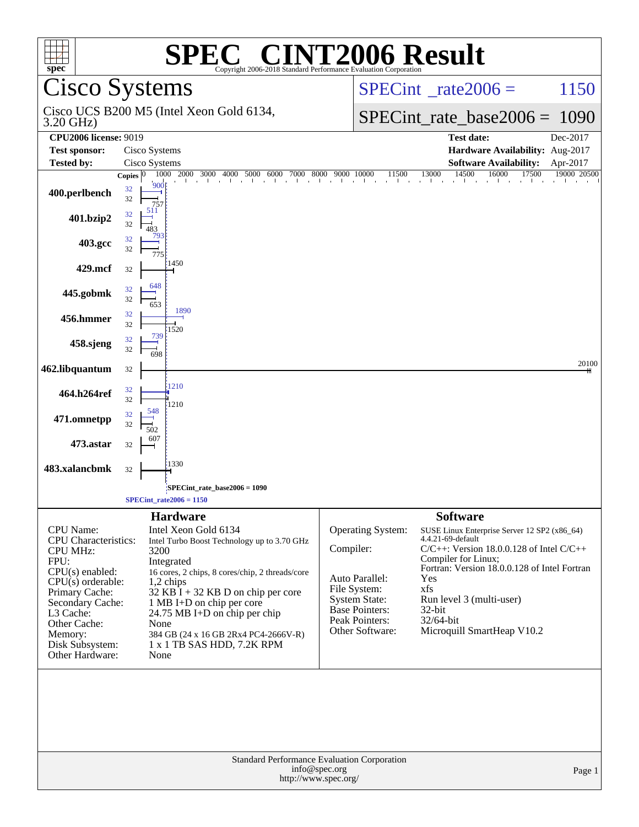| spec <sup>®</sup>                                                                                                                                                                                                                          | Copyright 2006-2018 Standard Performance Evaluation Corporation                                                                                                                                                                                                                                                                                                      | <b>SPEC<sup>®</sup> CINT2006 Result</b>                                                                                                                                                                                                                                                                                                                                                                                                        |  |  |  |  |  |
|--------------------------------------------------------------------------------------------------------------------------------------------------------------------------------------------------------------------------------------------|----------------------------------------------------------------------------------------------------------------------------------------------------------------------------------------------------------------------------------------------------------------------------------------------------------------------------------------------------------------------|------------------------------------------------------------------------------------------------------------------------------------------------------------------------------------------------------------------------------------------------------------------------------------------------------------------------------------------------------------------------------------------------------------------------------------------------|--|--|--|--|--|
|                                                                                                                                                                                                                                            | <b>Cisco Systems</b>                                                                                                                                                                                                                                                                                                                                                 | $SPECint^{\circ}$ <sub>_rate2006</sub> =<br>1150                                                                                                                                                                                                                                                                                                                                                                                               |  |  |  |  |  |
| 3.20 GHz)                                                                                                                                                                                                                                  | Cisco UCS B200 M5 (Intel Xeon Gold 6134,                                                                                                                                                                                                                                                                                                                             | $SPECint_rate_base2006 =$<br>1090                                                                                                                                                                                                                                                                                                                                                                                                              |  |  |  |  |  |
| <b>CPU2006 license: 9019</b>                                                                                                                                                                                                               |                                                                                                                                                                                                                                                                                                                                                                      | Dec-2017<br><b>Test date:</b>                                                                                                                                                                                                                                                                                                                                                                                                                  |  |  |  |  |  |
| <b>Test sponsor:</b>                                                                                                                                                                                                                       | Cisco Systems                                                                                                                                                                                                                                                                                                                                                        | Hardware Availability: Aug-2017                                                                                                                                                                                                                                                                                                                                                                                                                |  |  |  |  |  |
| <b>Tested by:</b>                                                                                                                                                                                                                          | Cisco Systems                                                                                                                                                                                                                                                                                                                                                        | <b>Software Availability:</b><br>Apr-2017                                                                                                                                                                                                                                                                                                                                                                                                      |  |  |  |  |  |
| 400.perlbench                                                                                                                                                                                                                              | Copies $ 0 $<br>32<br>32<br>757<br>511<br>32                                                                                                                                                                                                                                                                                                                         | 14500<br>17500<br>16000<br>19000 20500                                                                                                                                                                                                                                                                                                                                                                                                         |  |  |  |  |  |
| 401.bzip2                                                                                                                                                                                                                                  | 32<br>483<br>32                                                                                                                                                                                                                                                                                                                                                      |                                                                                                                                                                                                                                                                                                                                                                                                                                                |  |  |  |  |  |
| 403.gcc                                                                                                                                                                                                                                    | 32<br>775<br>1450                                                                                                                                                                                                                                                                                                                                                    |                                                                                                                                                                                                                                                                                                                                                                                                                                                |  |  |  |  |  |
| 429.mcf                                                                                                                                                                                                                                    | 32<br>648                                                                                                                                                                                                                                                                                                                                                            |                                                                                                                                                                                                                                                                                                                                                                                                                                                |  |  |  |  |  |
| 445.gobmk                                                                                                                                                                                                                                  | 32<br>32<br>653<br>1890                                                                                                                                                                                                                                                                                                                                              |                                                                                                                                                                                                                                                                                                                                                                                                                                                |  |  |  |  |  |
| 456.hmmer                                                                                                                                                                                                                                  | 32<br>32<br>1520<br>739                                                                                                                                                                                                                                                                                                                                              |                                                                                                                                                                                                                                                                                                                                                                                                                                                |  |  |  |  |  |
| 458.sjeng                                                                                                                                                                                                                                  | 32<br>32<br>698                                                                                                                                                                                                                                                                                                                                                      |                                                                                                                                                                                                                                                                                                                                                                                                                                                |  |  |  |  |  |
| 462.libquantum                                                                                                                                                                                                                             | 32<br>1210                                                                                                                                                                                                                                                                                                                                                           | 20100                                                                                                                                                                                                                                                                                                                                                                                                                                          |  |  |  |  |  |
| 464.h264ref                                                                                                                                                                                                                                | 32<br>32<br>1210<br>548                                                                                                                                                                                                                                                                                                                                              |                                                                                                                                                                                                                                                                                                                                                                                                                                                |  |  |  |  |  |
| 471.omnetpp                                                                                                                                                                                                                                | 32<br>32<br>502                                                                                                                                                                                                                                                                                                                                                      |                                                                                                                                                                                                                                                                                                                                                                                                                                                |  |  |  |  |  |
| 473.astar                                                                                                                                                                                                                                  | 607<br>32                                                                                                                                                                                                                                                                                                                                                            |                                                                                                                                                                                                                                                                                                                                                                                                                                                |  |  |  |  |  |
| 483.xalancbmk                                                                                                                                                                                                                              | 1330<br>32                                                                                                                                                                                                                                                                                                                                                           |                                                                                                                                                                                                                                                                                                                                                                                                                                                |  |  |  |  |  |
|                                                                                                                                                                                                                                            | SPECint_rate_base2006 = 1090<br>$SPECint\_rate2006 = 1150$                                                                                                                                                                                                                                                                                                           |                                                                                                                                                                                                                                                                                                                                                                                                                                                |  |  |  |  |  |
|                                                                                                                                                                                                                                            | <b>Hardware</b>                                                                                                                                                                                                                                                                                                                                                      | <b>Software</b>                                                                                                                                                                                                                                                                                                                                                                                                                                |  |  |  |  |  |
| <b>CPU</b> Name:<br><b>CPU</b> Characteristics:<br><b>CPU MHz:</b><br>FPU:<br>$CPU(s)$ enabled:<br>$CPU(s)$ orderable:<br>Primary Cache:<br>Secondary Cache:<br>L3 Cache:<br>Other Cache:<br>Memory:<br>Disk Subsystem:<br>Other Hardware: | Intel Xeon Gold 6134<br>Intel Turbo Boost Technology up to 3.70 GHz<br>3200<br>Integrated<br>16 cores, 2 chips, 8 cores/chip, 2 threads/core<br>$1,2$ chips<br>$32$ KB $\overline{I}$ + 32 KB D on chip per core<br>1 MB I+D on chip per core<br>24.75 MB I+D on chip per chip<br>None<br>384 GB (24 x 16 GB 2Rx4 PC4-2666V-R)<br>1 x 1 TB SAS HDD, 7.2K RPM<br>None | Operating System:<br>SUSE Linux Enterprise Server 12 SP2 (x86_64)<br>4.4.21-69-default<br>Compiler:<br>$C/C++$ : Version 18.0.0.128 of Intel $C/C++$<br>Compiler for Linux;<br>Fortran: Version 18.0.0.128 of Intel Fortran<br>Auto Parallel:<br>Yes<br>File System:<br>xfs<br><b>System State:</b><br>Run level 3 (multi-user)<br>Base Pointers:<br>$32$ -bit<br>Peak Pointers:<br>32/64-bit<br>Other Software:<br>Microquill SmartHeap V10.2 |  |  |  |  |  |
|                                                                                                                                                                                                                                            | Standard Performance Evaluation Corporation<br>info@spec.org<br>http://www.spec.org/                                                                                                                                                                                                                                                                                 | Page 1                                                                                                                                                                                                                                                                                                                                                                                                                                         |  |  |  |  |  |
|                                                                                                                                                                                                                                            |                                                                                                                                                                                                                                                                                                                                                                      |                                                                                                                                                                                                                                                                                                                                                                                                                                                |  |  |  |  |  |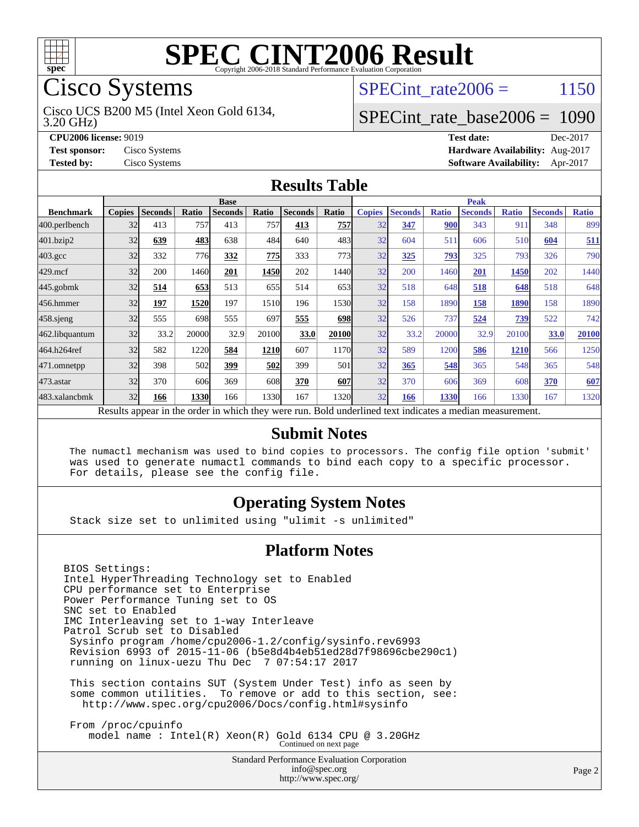

# Cisco Systems

3.20 GHz) Cisco UCS B200 M5 (Intel Xeon Gold 6134,

SPECint rate $2006 = 1150$ 

#### [SPECint\\_rate\\_base2006 =](http://www.spec.org/auto/cpu2006/Docs/result-fields.html#SPECintratebase2006) 1090

**[CPU2006 license:](http://www.spec.org/auto/cpu2006/Docs/result-fields.html#CPU2006license)** 9019 **[Test date:](http://www.spec.org/auto/cpu2006/Docs/result-fields.html#Testdate)** Dec-2017 **[Test sponsor:](http://www.spec.org/auto/cpu2006/Docs/result-fields.html#Testsponsor)** Cisco Systems **[Hardware Availability:](http://www.spec.org/auto/cpu2006/Docs/result-fields.html#HardwareAvailability)** Aug-2017 **[Tested by:](http://www.spec.org/auto/cpu2006/Docs/result-fields.html#Testedby)** Cisco Systems **[Software Availability:](http://www.spec.org/auto/cpu2006/Docs/result-fields.html#SoftwareAvailability)** Apr-2017

#### **[Results Table](http://www.spec.org/auto/cpu2006/Docs/result-fields.html#ResultsTable)**

|                    | <b>Base</b>                                                                                              |                |       |                |       |                |       | <b>Peak</b>   |                |              |                |              |                |              |
|--------------------|----------------------------------------------------------------------------------------------------------|----------------|-------|----------------|-------|----------------|-------|---------------|----------------|--------------|----------------|--------------|----------------|--------------|
| <b>Benchmark</b>   | <b>Copies</b>                                                                                            | <b>Seconds</b> | Ratio | <b>Seconds</b> | Ratio | <b>Seconds</b> | Ratio | <b>Copies</b> | <b>Seconds</b> | <b>Ratio</b> | <b>Seconds</b> | <b>Ratio</b> | <b>Seconds</b> | <b>Ratio</b> |
| 400.perlbench      | 32                                                                                                       | 413            | 757   | 413            | 757   | 413            | 757   | 32            | 347            | 900          | 343            | 911          | 348            | 899          |
| 401.bzip2          | 32                                                                                                       | 639            | 483   | 638            | 484   | 640            | 483   | 32            | 604            | 511          | 606            | 510          | 604            | 511          |
| $403.\mathrm{gcc}$ | 32                                                                                                       | 332            | 776   | 332            | 775   | 333            | 773   | 32            | 325            | 793          | 325            | 793          | 326            | 790          |
| $429$ .mcf         | 32                                                                                                       | 200            | 1460  | 201            | 1450  | 202            | 1440  | 32            | 200            | 1460         | 201            | 1450         | 202            | 1440         |
| $445$ .gobmk       | 32                                                                                                       | 514            | 653   | 513            | 655   | 514            | 653   | 32            | 518            | 648          | 518            | 648          | 518            | 648          |
| 456.hmmer          | 32                                                                                                       | 197            | 1520  | 197            | 1510  | 196            | 1530  | 32            | 158            | 1890         | 158            | 1890         | 158            | 1890         |
| $458$ .sjeng       | 32                                                                                                       | 555            | 698   | 555            | 697   | 555            | 698   | 32            | 526            | 737          | 524            | 739          | 522            | 742          |
| 462.libquantum     | 32                                                                                                       | 33.2           | 20000 | 32.9           | 20100 | 33.0           | 20100 | 32            | 33.2           | 20000        | 32.9           | 20100        | 33.0           | 20100        |
| 464.h264ref        | 32                                                                                                       | 582            | 1220  | 584            | 1210  | 607            | 1170  | 32            | 589            | 1200         | 586            | <b>1210</b>  | 566            | 1250         |
| 471.omnetpp        | 32                                                                                                       | 398            | 502   | 399            | 502   | 399            | 501   | 32            | 365            | 548          | 365            | 548          | 365            | 548          |
| $473$ . astar      | 32                                                                                                       | 370            | 606   | 369            | 608   | 370            | 607   | 32            | 370            | 606          | 369            | 608          | 370            | 607          |
| 483.xalancbmk      | 32                                                                                                       | 166            | 1330  | 166            | 1330  | 167            | 1320  | 32            | 166            | 1330         | 166            | 1330         | 167            | 1320         |
|                    | Results appear in the order in which they were run. Bold underlined text indicates a median measurement. |                |       |                |       |                |       |               |                |              |                |              |                |              |

#### **[Submit Notes](http://www.spec.org/auto/cpu2006/Docs/result-fields.html#SubmitNotes)**

 The numactl mechanism was used to bind copies to processors. The config file option 'submit' was used to generate numactl commands to bind each copy to a specific processor. For details, please see the config file.

#### **[Operating System Notes](http://www.spec.org/auto/cpu2006/Docs/result-fields.html#OperatingSystemNotes)**

Stack size set to unlimited using "ulimit -s unlimited"

#### **[Platform Notes](http://www.spec.org/auto/cpu2006/Docs/result-fields.html#PlatformNotes)**

BIOS Settings: Intel HyperThreading Technology set to Enabled CPU performance set to Enterprise Power Performance Tuning set to OS SNC set to Enabled IMC Interleaving set to 1-way Interleave Patrol Scrub set to Disabled Sysinfo program /home/cpu2006-1.2/config/sysinfo.rev6993 Revision 6993 of 2015-11-06 (b5e8d4b4eb51ed28d7f98696cbe290c1) running on linux-uezu Thu Dec 7 07:54:17 2017 This section contains SUT (System Under Test) info as seen by some common utilities. To remove or add to this section, see: <http://www.spec.org/cpu2006/Docs/config.html#sysinfo> From /proc/cpuinfo

model name : Intel(R) Xeon(R) Gold 6134 CPU @ 3.20GHz Continued on next page

Standard Performance Evaluation Corporation [info@spec.org](mailto:info@spec.org) <http://www.spec.org/>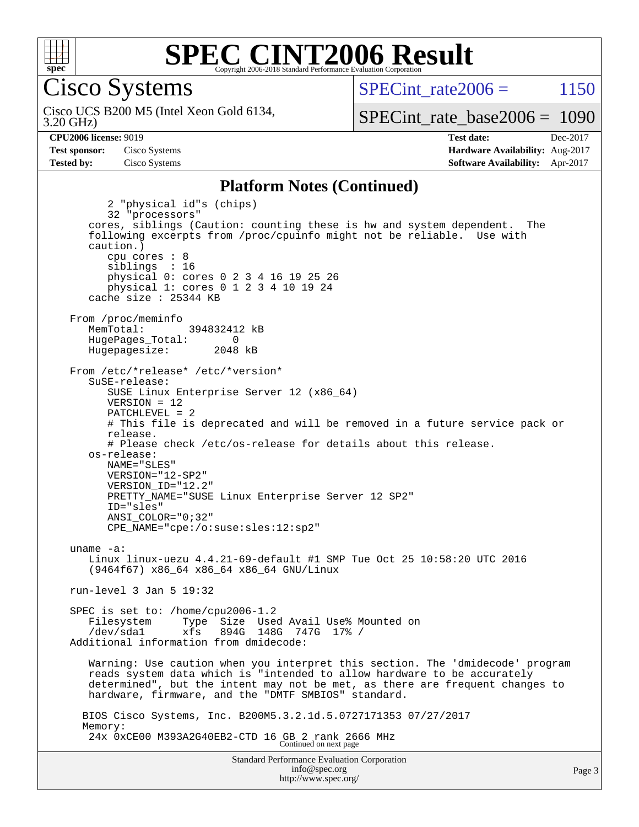

Cisco Systems

3.20 GHz) Cisco UCS B200 M5 (Intel Xeon Gold 6134, SPECint rate $2006 = 1150$ 

[SPECint\\_rate\\_base2006 =](http://www.spec.org/auto/cpu2006/Docs/result-fields.html#SPECintratebase2006) 1090

**[CPU2006 license:](http://www.spec.org/auto/cpu2006/Docs/result-fields.html#CPU2006license)** 9019 **[Test date:](http://www.spec.org/auto/cpu2006/Docs/result-fields.html#Testdate)** Dec-2017 **[Test sponsor:](http://www.spec.org/auto/cpu2006/Docs/result-fields.html#Testsponsor)** Cisco Systems **[Hardware Availability:](http://www.spec.org/auto/cpu2006/Docs/result-fields.html#HardwareAvailability)** Aug-2017 **[Tested by:](http://www.spec.org/auto/cpu2006/Docs/result-fields.html#Testedby)** Cisco Systems **[Software Availability:](http://www.spec.org/auto/cpu2006/Docs/result-fields.html#SoftwareAvailability)** Apr-2017

#### **[Platform Notes \(Continued\)](http://www.spec.org/auto/cpu2006/Docs/result-fields.html#PlatformNotes)**

Standard Performance Evaluation Corporation 2 "physical id"s (chips) 32 "processors" cores, siblings (Caution: counting these is hw and system dependent. The following excerpts from /proc/cpuinfo might not be reliable. Use with caution.) cpu cores : 8 siblings : 16 physical 0: cores 0 2 3 4 16 19 25 26 physical 1: cores 0 1 2 3 4 10 19 24 cache size : 25344 KB From /proc/meminfo MemTotal: 394832412 kB HugePages\_Total: 0<br>Hugepagesize: 2048 kB Hugepagesize: From /etc/\*release\* /etc/\*version\* SuSE-release: SUSE Linux Enterprise Server 12 (x86\_64) VERSION = 12 PATCHLEVEL = 2 # This file is deprecated and will be removed in a future service pack or release. # Please check /etc/os-release for details about this release. os-release: NAME="SLES" VERSION="12-SP2" VERSION\_ID="12.2" PRETTY\_NAME="SUSE Linux Enterprise Server 12 SP2" ID="sles" ANSI\_COLOR="0;32" CPE\_NAME="cpe:/o:suse:sles:12:sp2" uname -a: Linux linux-uezu 4.4.21-69-default #1 SMP Tue Oct 25 10:58:20 UTC 2016 (9464f67) x86\_64 x86\_64 x86\_64 GNU/Linux run-level 3 Jan 5 19:32 SPEC is set to: /home/cpu2006-1.2 Filesystem Type Size Used Avail Use% Mounted on /dev/sda1 xfs 894G 148G 747G 17% / Additional information from dmidecode: Warning: Use caution when you interpret this section. The 'dmidecode' program reads system data which is "intended to allow hardware to be accurately determined", but the intent may not be met, as there are frequent changes to hardware, firmware, and the "DMTF SMBIOS" standard. BIOS Cisco Systems, Inc. B200M5.3.2.1d.5.0727171353 07/27/2017 Memory: 24x 0xCE00 M393A2G40EB2-CTD 16 GB 2 rank 2666 MHz Continued on next page

[info@spec.org](mailto:info@spec.org) <http://www.spec.org/>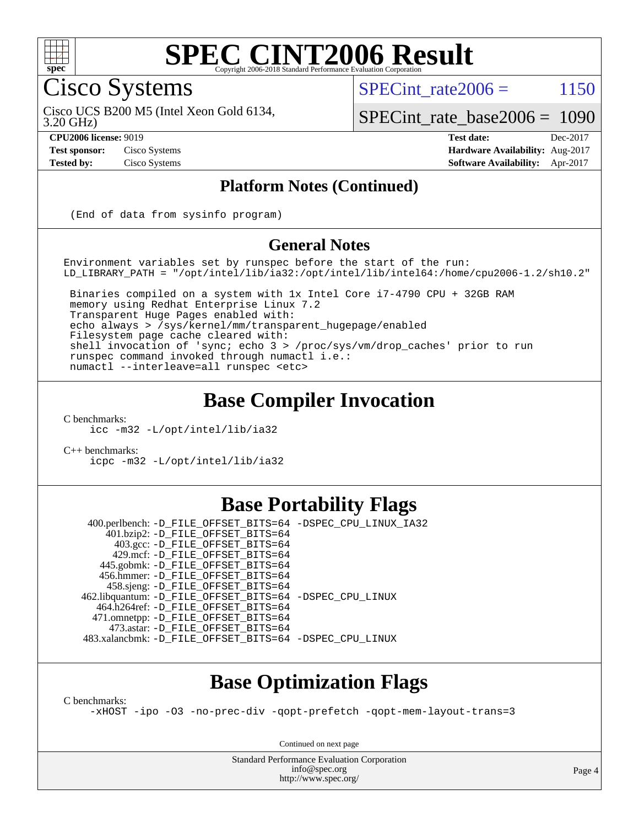

#### **[SPEC CINT2006 Result](http://www.spec.org/auto/cpu2006/Docs/result-fields.html#SPECCINT2006Result)** Copyright 2006-2018 Standard Performance Evaluation C

Cisco Systems

SPECint rate $2006 = 1150$ 

Cisco UCS B200 M5 (Intel Xeon Gold 6134,

3.20 GHz)

[SPECint\\_rate\\_base2006 =](http://www.spec.org/auto/cpu2006/Docs/result-fields.html#SPECintratebase2006) 1090

**[CPU2006 license:](http://www.spec.org/auto/cpu2006/Docs/result-fields.html#CPU2006license)** 9019 **[Test date:](http://www.spec.org/auto/cpu2006/Docs/result-fields.html#Testdate)** Dec-2017 **[Test sponsor:](http://www.spec.org/auto/cpu2006/Docs/result-fields.html#Testsponsor)** Cisco Systems **[Hardware Availability:](http://www.spec.org/auto/cpu2006/Docs/result-fields.html#HardwareAvailability)** Aug-2017 **[Tested by:](http://www.spec.org/auto/cpu2006/Docs/result-fields.html#Testedby)** Cisco Systems **[Software Availability:](http://www.spec.org/auto/cpu2006/Docs/result-fields.html#SoftwareAvailability)** Apr-2017

#### **[Platform Notes \(Continued\)](http://www.spec.org/auto/cpu2006/Docs/result-fields.html#PlatformNotes)**

(End of data from sysinfo program)

#### **[General Notes](http://www.spec.org/auto/cpu2006/Docs/result-fields.html#GeneralNotes)**

Environment variables set by runspec before the start of the run: LD\_LIBRARY\_PATH = "/opt/intel/lib/ia32:/opt/intel/lib/intel64:/home/cpu2006-1.2/sh10.2"

 Binaries compiled on a system with 1x Intel Core i7-4790 CPU + 32GB RAM memory using Redhat Enterprise Linux 7.2 Transparent Huge Pages enabled with: echo always > /sys/kernel/mm/transparent\_hugepage/enabled Filesystem page cache cleared with: shell invocation of 'sync; echo 3 > /proc/sys/vm/drop\_caches' prior to run runspec command invoked through numactl i.e.: numactl --interleave=all runspec <etc>

#### **[Base Compiler Invocation](http://www.spec.org/auto/cpu2006/Docs/result-fields.html#BaseCompilerInvocation)**

[C benchmarks](http://www.spec.org/auto/cpu2006/Docs/result-fields.html#Cbenchmarks):

[icc -m32 -L/opt/intel/lib/ia32](http://www.spec.org/cpu2006/results/res2017q4/cpu2006-20171211-51001.flags.html#user_CCbase_intel_icc_5b9b234ab5a48620dbff732649db9641)

[C++ benchmarks:](http://www.spec.org/auto/cpu2006/Docs/result-fields.html#CXXbenchmarks) [icpc -m32 -L/opt/intel/lib/ia32](http://www.spec.org/cpu2006/results/res2017q4/cpu2006-20171211-51001.flags.html#user_CXXbase_intel_icpc_01235b2dad29c0385d1e28a6a6b0d9cb)

### **[Base Portability Flags](http://www.spec.org/auto/cpu2006/Docs/result-fields.html#BasePortabilityFlags)**

 400.perlbench: [-D\\_FILE\\_OFFSET\\_BITS=64](http://www.spec.org/cpu2006/results/res2017q4/cpu2006-20171211-51001.flags.html#user_basePORTABILITY400_perlbench_file_offset_bits_64_438cf9856305ebd76870a2c6dc2689ab) [-DSPEC\\_CPU\\_LINUX\\_IA32](http://www.spec.org/cpu2006/results/res2017q4/cpu2006-20171211-51001.flags.html#b400.perlbench_baseCPORTABILITY_DSPEC_CPU_LINUX_IA32) 401.bzip2: [-D\\_FILE\\_OFFSET\\_BITS=64](http://www.spec.org/cpu2006/results/res2017q4/cpu2006-20171211-51001.flags.html#user_basePORTABILITY401_bzip2_file_offset_bits_64_438cf9856305ebd76870a2c6dc2689ab) 403.gcc: [-D\\_FILE\\_OFFSET\\_BITS=64](http://www.spec.org/cpu2006/results/res2017q4/cpu2006-20171211-51001.flags.html#user_basePORTABILITY403_gcc_file_offset_bits_64_438cf9856305ebd76870a2c6dc2689ab) 429.mcf: [-D\\_FILE\\_OFFSET\\_BITS=64](http://www.spec.org/cpu2006/results/res2017q4/cpu2006-20171211-51001.flags.html#user_basePORTABILITY429_mcf_file_offset_bits_64_438cf9856305ebd76870a2c6dc2689ab) 445.gobmk: [-D\\_FILE\\_OFFSET\\_BITS=64](http://www.spec.org/cpu2006/results/res2017q4/cpu2006-20171211-51001.flags.html#user_basePORTABILITY445_gobmk_file_offset_bits_64_438cf9856305ebd76870a2c6dc2689ab) 456.hmmer: [-D\\_FILE\\_OFFSET\\_BITS=64](http://www.spec.org/cpu2006/results/res2017q4/cpu2006-20171211-51001.flags.html#user_basePORTABILITY456_hmmer_file_offset_bits_64_438cf9856305ebd76870a2c6dc2689ab) 458.sjeng: [-D\\_FILE\\_OFFSET\\_BITS=64](http://www.spec.org/cpu2006/results/res2017q4/cpu2006-20171211-51001.flags.html#user_basePORTABILITY458_sjeng_file_offset_bits_64_438cf9856305ebd76870a2c6dc2689ab) 462.libquantum: [-D\\_FILE\\_OFFSET\\_BITS=64](http://www.spec.org/cpu2006/results/res2017q4/cpu2006-20171211-51001.flags.html#user_basePORTABILITY462_libquantum_file_offset_bits_64_438cf9856305ebd76870a2c6dc2689ab) [-DSPEC\\_CPU\\_LINUX](http://www.spec.org/cpu2006/results/res2017q4/cpu2006-20171211-51001.flags.html#b462.libquantum_baseCPORTABILITY_DSPEC_CPU_LINUX) 464.h264ref: [-D\\_FILE\\_OFFSET\\_BITS=64](http://www.spec.org/cpu2006/results/res2017q4/cpu2006-20171211-51001.flags.html#user_basePORTABILITY464_h264ref_file_offset_bits_64_438cf9856305ebd76870a2c6dc2689ab) 471.omnetpp: [-D\\_FILE\\_OFFSET\\_BITS=64](http://www.spec.org/cpu2006/results/res2017q4/cpu2006-20171211-51001.flags.html#user_basePORTABILITY471_omnetpp_file_offset_bits_64_438cf9856305ebd76870a2c6dc2689ab) 473.astar: [-D\\_FILE\\_OFFSET\\_BITS=64](http://www.spec.org/cpu2006/results/res2017q4/cpu2006-20171211-51001.flags.html#user_basePORTABILITY473_astar_file_offset_bits_64_438cf9856305ebd76870a2c6dc2689ab) 483.xalancbmk: [-D\\_FILE\\_OFFSET\\_BITS=64](http://www.spec.org/cpu2006/results/res2017q4/cpu2006-20171211-51001.flags.html#user_basePORTABILITY483_xalancbmk_file_offset_bits_64_438cf9856305ebd76870a2c6dc2689ab) [-DSPEC\\_CPU\\_LINUX](http://www.spec.org/cpu2006/results/res2017q4/cpu2006-20171211-51001.flags.html#b483.xalancbmk_baseCXXPORTABILITY_DSPEC_CPU_LINUX)

## **[Base Optimization Flags](http://www.spec.org/auto/cpu2006/Docs/result-fields.html#BaseOptimizationFlags)**

[C benchmarks](http://www.spec.org/auto/cpu2006/Docs/result-fields.html#Cbenchmarks):

[-xHOST](http://www.spec.org/cpu2006/results/res2017q4/cpu2006-20171211-51001.flags.html#user_CCbase_f-xHost_e62ac3e528d1159ebbc7507f5617393f) [-ipo](http://www.spec.org/cpu2006/results/res2017q4/cpu2006-20171211-51001.flags.html#user_CCbase_f-ipo) [-O3](http://www.spec.org/cpu2006/results/res2017q4/cpu2006-20171211-51001.flags.html#user_CCbase_f-O3) [-no-prec-div](http://www.spec.org/cpu2006/results/res2017q4/cpu2006-20171211-51001.flags.html#user_CCbase_f-no-prec-div) [-qopt-prefetch](http://www.spec.org/cpu2006/results/res2017q4/cpu2006-20171211-51001.flags.html#user_CCbase_f-qopt-prefetch) [-qopt-mem-layout-trans=3](http://www.spec.org/cpu2006/results/res2017q4/cpu2006-20171211-51001.flags.html#user_CCbase_f-qopt-mem-layout-trans_170f5be61cd2cedc9b54468c59262d5d)

Continued on next page

Standard Performance Evaluation Corporation [info@spec.org](mailto:info@spec.org) <http://www.spec.org/>

Page 4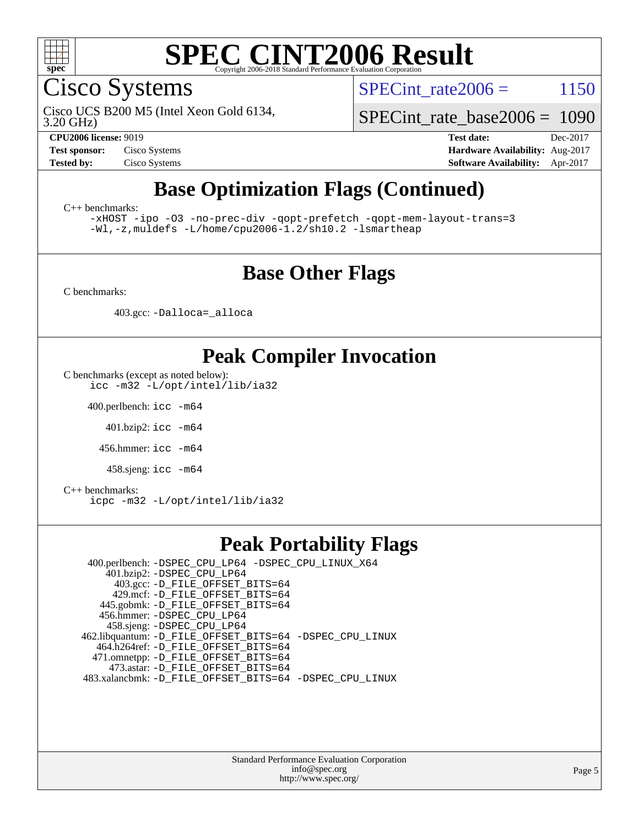

Cisco Systems

SPECint rate $2006 = 1150$ 

3.20 GHz) Cisco UCS B200 M5 (Intel Xeon Gold 6134,

[SPECint\\_rate\\_base2006 =](http://www.spec.org/auto/cpu2006/Docs/result-fields.html#SPECintratebase2006) 1090

**[CPU2006 license:](http://www.spec.org/auto/cpu2006/Docs/result-fields.html#CPU2006license)** 9019 **[Test date:](http://www.spec.org/auto/cpu2006/Docs/result-fields.html#Testdate)** Dec-2017 **[Test sponsor:](http://www.spec.org/auto/cpu2006/Docs/result-fields.html#Testsponsor)** Cisco Systems **[Hardware Availability:](http://www.spec.org/auto/cpu2006/Docs/result-fields.html#HardwareAvailability)** Aug-2017 **[Tested by:](http://www.spec.org/auto/cpu2006/Docs/result-fields.html#Testedby)** Cisco Systems **[Software Availability:](http://www.spec.org/auto/cpu2006/Docs/result-fields.html#SoftwareAvailability)** Apr-2017

# **[Base Optimization Flags \(Continued\)](http://www.spec.org/auto/cpu2006/Docs/result-fields.html#BaseOptimizationFlags)**

[C++ benchmarks:](http://www.spec.org/auto/cpu2006/Docs/result-fields.html#CXXbenchmarks)

[-xHOST](http://www.spec.org/cpu2006/results/res2017q4/cpu2006-20171211-51001.flags.html#user_CXXbase_f-xHost_e62ac3e528d1159ebbc7507f5617393f) [-ipo](http://www.spec.org/cpu2006/results/res2017q4/cpu2006-20171211-51001.flags.html#user_CXXbase_f-ipo) [-O3](http://www.spec.org/cpu2006/results/res2017q4/cpu2006-20171211-51001.flags.html#user_CXXbase_f-O3) [-no-prec-div](http://www.spec.org/cpu2006/results/res2017q4/cpu2006-20171211-51001.flags.html#user_CXXbase_f-no-prec-div) [-qopt-prefetch](http://www.spec.org/cpu2006/results/res2017q4/cpu2006-20171211-51001.flags.html#user_CXXbase_f-qopt-prefetch) [-qopt-mem-layout-trans=3](http://www.spec.org/cpu2006/results/res2017q4/cpu2006-20171211-51001.flags.html#user_CXXbase_f-qopt-mem-layout-trans_170f5be61cd2cedc9b54468c59262d5d) [-Wl,-z,muldefs](http://www.spec.org/cpu2006/results/res2017q4/cpu2006-20171211-51001.flags.html#user_CXXbase_link_force_multiple1_74079c344b956b9658436fd1b6dd3a8a) [-L/home/cpu2006-1.2/sh10.2 -lsmartheap](http://www.spec.org/cpu2006/results/res2017q4/cpu2006-20171211-51001.flags.html#user_CXXbase_SmartHeap_5706a66a2f6a219cbb238ac92a73101d)

#### **[Base Other Flags](http://www.spec.org/auto/cpu2006/Docs/result-fields.html#BaseOtherFlags)**

[C benchmarks](http://www.spec.org/auto/cpu2006/Docs/result-fields.html#Cbenchmarks):

403.gcc: [-Dalloca=\\_alloca](http://www.spec.org/cpu2006/results/res2017q4/cpu2006-20171211-51001.flags.html#b403.gcc_baseEXTRA_CFLAGS_Dalloca_be3056838c12de2578596ca5467af7f3)

### **[Peak Compiler Invocation](http://www.spec.org/auto/cpu2006/Docs/result-fields.html#PeakCompilerInvocation)**

[C benchmarks \(except as noted below\)](http://www.spec.org/auto/cpu2006/Docs/result-fields.html#Cbenchmarksexceptasnotedbelow): [icc -m32 -L/opt/intel/lib/ia32](http://www.spec.org/cpu2006/results/res2017q4/cpu2006-20171211-51001.flags.html#user_CCpeak_intel_icc_5b9b234ab5a48620dbff732649db9641)

400.perlbench: [icc -m64](http://www.spec.org/cpu2006/results/res2017q4/cpu2006-20171211-51001.flags.html#user_peakCCLD400_perlbench_intel_icc_64bit_bda6cc9af1fdbb0edc3795bac97ada53)

401.bzip2: [icc -m64](http://www.spec.org/cpu2006/results/res2017q4/cpu2006-20171211-51001.flags.html#user_peakCCLD401_bzip2_intel_icc_64bit_bda6cc9af1fdbb0edc3795bac97ada53)

456.hmmer: [icc -m64](http://www.spec.org/cpu2006/results/res2017q4/cpu2006-20171211-51001.flags.html#user_peakCCLD456_hmmer_intel_icc_64bit_bda6cc9af1fdbb0edc3795bac97ada53)

458.sjeng: [icc -m64](http://www.spec.org/cpu2006/results/res2017q4/cpu2006-20171211-51001.flags.html#user_peakCCLD458_sjeng_intel_icc_64bit_bda6cc9af1fdbb0edc3795bac97ada53)

[C++ benchmarks:](http://www.spec.org/auto/cpu2006/Docs/result-fields.html#CXXbenchmarks) [icpc -m32 -L/opt/intel/lib/ia32](http://www.spec.org/cpu2006/results/res2017q4/cpu2006-20171211-51001.flags.html#user_CXXpeak_intel_icpc_01235b2dad29c0385d1e28a6a6b0d9cb)

### **[Peak Portability Flags](http://www.spec.org/auto/cpu2006/Docs/result-fields.html#PeakPortabilityFlags)**

 400.perlbench: [-DSPEC\\_CPU\\_LP64](http://www.spec.org/cpu2006/results/res2017q4/cpu2006-20171211-51001.flags.html#b400.perlbench_peakCPORTABILITY_DSPEC_CPU_LP64) [-DSPEC\\_CPU\\_LINUX\\_X64](http://www.spec.org/cpu2006/results/res2017q4/cpu2006-20171211-51001.flags.html#b400.perlbench_peakCPORTABILITY_DSPEC_CPU_LINUX_X64) 401.bzip2: [-DSPEC\\_CPU\\_LP64](http://www.spec.org/cpu2006/results/res2017q4/cpu2006-20171211-51001.flags.html#suite_peakCPORTABILITY401_bzip2_DSPEC_CPU_LP64) 403.gcc: [-D\\_FILE\\_OFFSET\\_BITS=64](http://www.spec.org/cpu2006/results/res2017q4/cpu2006-20171211-51001.flags.html#user_peakPORTABILITY403_gcc_file_offset_bits_64_438cf9856305ebd76870a2c6dc2689ab) 429.mcf: [-D\\_FILE\\_OFFSET\\_BITS=64](http://www.spec.org/cpu2006/results/res2017q4/cpu2006-20171211-51001.flags.html#user_peakPORTABILITY429_mcf_file_offset_bits_64_438cf9856305ebd76870a2c6dc2689ab) 445.gobmk: [-D\\_FILE\\_OFFSET\\_BITS=64](http://www.spec.org/cpu2006/results/res2017q4/cpu2006-20171211-51001.flags.html#user_peakPORTABILITY445_gobmk_file_offset_bits_64_438cf9856305ebd76870a2c6dc2689ab) 456.hmmer: [-DSPEC\\_CPU\\_LP64](http://www.spec.org/cpu2006/results/res2017q4/cpu2006-20171211-51001.flags.html#suite_peakCPORTABILITY456_hmmer_DSPEC_CPU_LP64) 458.sjeng: [-DSPEC\\_CPU\\_LP64](http://www.spec.org/cpu2006/results/res2017q4/cpu2006-20171211-51001.flags.html#suite_peakCPORTABILITY458_sjeng_DSPEC_CPU_LP64) 462.libquantum: [-D\\_FILE\\_OFFSET\\_BITS=64](http://www.spec.org/cpu2006/results/res2017q4/cpu2006-20171211-51001.flags.html#user_peakPORTABILITY462_libquantum_file_offset_bits_64_438cf9856305ebd76870a2c6dc2689ab) [-DSPEC\\_CPU\\_LINUX](http://www.spec.org/cpu2006/results/res2017q4/cpu2006-20171211-51001.flags.html#b462.libquantum_peakCPORTABILITY_DSPEC_CPU_LINUX) 464.h264ref: [-D\\_FILE\\_OFFSET\\_BITS=64](http://www.spec.org/cpu2006/results/res2017q4/cpu2006-20171211-51001.flags.html#user_peakPORTABILITY464_h264ref_file_offset_bits_64_438cf9856305ebd76870a2c6dc2689ab) 471.omnetpp: [-D\\_FILE\\_OFFSET\\_BITS=64](http://www.spec.org/cpu2006/results/res2017q4/cpu2006-20171211-51001.flags.html#user_peakPORTABILITY471_omnetpp_file_offset_bits_64_438cf9856305ebd76870a2c6dc2689ab) 473.astar: [-D\\_FILE\\_OFFSET\\_BITS=64](http://www.spec.org/cpu2006/results/res2017q4/cpu2006-20171211-51001.flags.html#user_peakPORTABILITY473_astar_file_offset_bits_64_438cf9856305ebd76870a2c6dc2689ab) 483.xalancbmk: [-D\\_FILE\\_OFFSET\\_BITS=64](http://www.spec.org/cpu2006/results/res2017q4/cpu2006-20171211-51001.flags.html#user_peakPORTABILITY483_xalancbmk_file_offset_bits_64_438cf9856305ebd76870a2c6dc2689ab) [-DSPEC\\_CPU\\_LINUX](http://www.spec.org/cpu2006/results/res2017q4/cpu2006-20171211-51001.flags.html#b483.xalancbmk_peakCXXPORTABILITY_DSPEC_CPU_LINUX)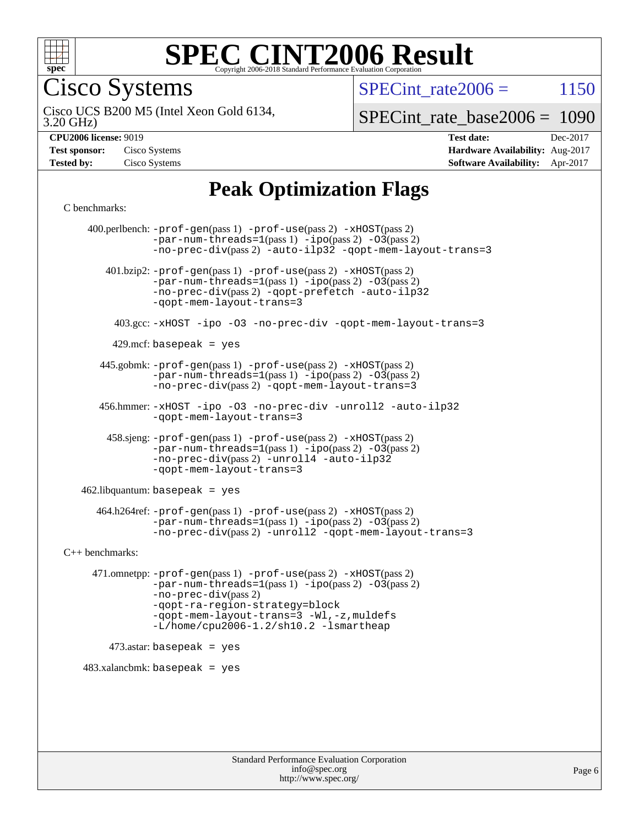

Cisco Systems

SPECint rate $2006 = 1150$ 

3.20 GHz) Cisco UCS B200 M5 (Intel Xeon Gold 6134,

[SPECint\\_rate\\_base2006 =](http://www.spec.org/auto/cpu2006/Docs/result-fields.html#SPECintratebase2006) 1090

| <b>Test sponsor:</b> | Cisco Systems |
|----------------------|---------------|
| <b>Tested by:</b>    | Cisco Systems |

**[CPU2006 license:](http://www.spec.org/auto/cpu2006/Docs/result-fields.html#CPU2006license)** 9019 **[Test date:](http://www.spec.org/auto/cpu2006/Docs/result-fields.html#Testdate)** Dec-2017 **[Hardware Availability:](http://www.spec.org/auto/cpu2006/Docs/result-fields.html#HardwareAvailability)** Aug-2017 **[Software Availability:](http://www.spec.org/auto/cpu2006/Docs/result-fields.html#SoftwareAvailability)** Apr-2017

## **[Peak Optimization Flags](http://www.spec.org/auto/cpu2006/Docs/result-fields.html#PeakOptimizationFlags)**

[C benchmarks](http://www.spec.org/auto/cpu2006/Docs/result-fields.html#Cbenchmarks):

 400.perlbench: [-prof-gen](http://www.spec.org/cpu2006/results/res2017q4/cpu2006-20171211-51001.flags.html#user_peakPASS1_CFLAGSPASS1_LDCFLAGS400_perlbench_prof_gen_e43856698f6ca7b7e442dfd80e94a8fc)(pass 1) [-prof-use](http://www.spec.org/cpu2006/results/res2017q4/cpu2006-20171211-51001.flags.html#user_peakPASS2_CFLAGSPASS2_LDCFLAGS400_perlbench_prof_use_bccf7792157ff70d64e32fe3e1250b55)(pass 2) [-xHOST](http://www.spec.org/cpu2006/results/res2017q4/cpu2006-20171211-51001.flags.html#user_peakPASS2_CFLAGSPASS2_LDCFLAGS400_perlbench_f-xHost_e62ac3e528d1159ebbc7507f5617393f)(pass 2)  $-par-num-threads=1(pass 1) -ipo(pass 2) -O3(pass 2)$  $-par-num-threads=1(pass 1) -ipo(pass 2) -O3(pass 2)$  $-par-num-threads=1(pass 1) -ipo(pass 2) -O3(pass 2)$  $-par-num-threads=1(pass 1) -ipo(pass 2) -O3(pass 2)$  $-par-num-threads=1(pass 1) -ipo(pass 2) -O3(pass 2)$  $-par-num-threads=1(pass 1) -ipo(pass 2) -O3(pass 2)$ [-no-prec-div](http://www.spec.org/cpu2006/results/res2017q4/cpu2006-20171211-51001.flags.html#user_peakPASS2_CFLAGSPASS2_LDCFLAGS400_perlbench_f-no-prec-div)(pass 2) [-auto-ilp32](http://www.spec.org/cpu2006/results/res2017q4/cpu2006-20171211-51001.flags.html#user_peakCOPTIMIZE400_perlbench_f-auto-ilp32) [-qopt-mem-layout-trans=3](http://www.spec.org/cpu2006/results/res2017q4/cpu2006-20171211-51001.flags.html#user_peakCOPTIMIZE400_perlbench_f-qopt-mem-layout-trans_170f5be61cd2cedc9b54468c59262d5d) 401.bzip2: [-prof-gen](http://www.spec.org/cpu2006/results/res2017q4/cpu2006-20171211-51001.flags.html#user_peakPASS1_CFLAGSPASS1_LDCFLAGS401_bzip2_prof_gen_e43856698f6ca7b7e442dfd80e94a8fc)(pass 1) [-prof-use](http://www.spec.org/cpu2006/results/res2017q4/cpu2006-20171211-51001.flags.html#user_peakPASS2_CFLAGSPASS2_LDCFLAGS401_bzip2_prof_use_bccf7792157ff70d64e32fe3e1250b55)(pass 2) [-xHOST](http://www.spec.org/cpu2006/results/res2017q4/cpu2006-20171211-51001.flags.html#user_peakPASS2_CFLAGSPASS2_LDCFLAGS401_bzip2_f-xHost_e62ac3e528d1159ebbc7507f5617393f)(pass 2)  $-par-num-threads=1(pass 1) -ipo(pass 2) -O3(pass 2)$  $-par-num-threads=1(pass 1) -ipo(pass 2) -O3(pass 2)$  $-par-num-threads=1(pass 1) -ipo(pass 2) -O3(pass 2)$  $-par-num-threads=1(pass 1) -ipo(pass 2) -O3(pass 2)$  $-par-num-threads=1(pass 1) -ipo(pass 2) -O3(pass 2)$  $-par-num-threads=1(pass 1) -ipo(pass 2) -O3(pass 2)$ [-no-prec-div](http://www.spec.org/cpu2006/results/res2017q4/cpu2006-20171211-51001.flags.html#user_peakPASS2_CFLAGSPASS2_LDCFLAGS401_bzip2_f-no-prec-div)(pass 2) [-qopt-prefetch](http://www.spec.org/cpu2006/results/res2017q4/cpu2006-20171211-51001.flags.html#user_peakCOPTIMIZE401_bzip2_f-qopt-prefetch) [-auto-ilp32](http://www.spec.org/cpu2006/results/res2017q4/cpu2006-20171211-51001.flags.html#user_peakCOPTIMIZE401_bzip2_f-auto-ilp32) [-qopt-mem-layout-trans=3](http://www.spec.org/cpu2006/results/res2017q4/cpu2006-20171211-51001.flags.html#user_peakCOPTIMIZE401_bzip2_f-qopt-mem-layout-trans_170f5be61cd2cedc9b54468c59262d5d) 403.gcc: [-xHOST](http://www.spec.org/cpu2006/results/res2017q4/cpu2006-20171211-51001.flags.html#user_peakOPTIMIZE403_gcc_f-xHost_e62ac3e528d1159ebbc7507f5617393f) [-ipo](http://www.spec.org/cpu2006/results/res2017q4/cpu2006-20171211-51001.flags.html#user_peakOPTIMIZE403_gcc_f-ipo) [-O3](http://www.spec.org/cpu2006/results/res2017q4/cpu2006-20171211-51001.flags.html#user_peakOPTIMIZE403_gcc_f-O3) [-no-prec-div](http://www.spec.org/cpu2006/results/res2017q4/cpu2006-20171211-51001.flags.html#user_peakOPTIMIZE403_gcc_f-no-prec-div) [-qopt-mem-layout-trans=3](http://www.spec.org/cpu2006/results/res2017q4/cpu2006-20171211-51001.flags.html#user_peakCOPTIMIZE403_gcc_f-qopt-mem-layout-trans_170f5be61cd2cedc9b54468c59262d5d)  $429$ .mcf: basepeak = yes 445.gobmk: [-prof-gen](http://www.spec.org/cpu2006/results/res2017q4/cpu2006-20171211-51001.flags.html#user_peakPASS1_CFLAGSPASS1_LDCFLAGS445_gobmk_prof_gen_e43856698f6ca7b7e442dfd80e94a8fc)(pass 1) [-prof-use](http://www.spec.org/cpu2006/results/res2017q4/cpu2006-20171211-51001.flags.html#user_peakPASS2_CFLAGSPASS2_LDCFLAGSPASS2_LDFLAGS445_gobmk_prof_use_bccf7792157ff70d64e32fe3e1250b55)(pass 2) [-xHOST](http://www.spec.org/cpu2006/results/res2017q4/cpu2006-20171211-51001.flags.html#user_peakPASS2_CFLAGSPASS2_LDCFLAGSPASS2_LDFLAGS445_gobmk_f-xHost_e62ac3e528d1159ebbc7507f5617393f)(pass 2)  $-par-num-threads=1(pass 1) -ipo(pass 2) -O3(pass 2)$  $-par-num-threads=1(pass 1) -ipo(pass 2) -O3(pass 2)$  $-par-num-threads=1(pass 1) -ipo(pass 2) -O3(pass 2)$  $-par-num-threads=1(pass 1) -ipo(pass 2) -O3(pass 2)$  $-par-num-threads=1(pass 1) -ipo(pass 2) -O3(pass 2)$  $-par-num-threads=1(pass 1) -ipo(pass 2) -O3(pass 2)$ [-no-prec-div](http://www.spec.org/cpu2006/results/res2017q4/cpu2006-20171211-51001.flags.html#user_peakPASS2_LDCFLAGS445_gobmk_f-no-prec-div)(pass 2) [-qopt-mem-layout-trans=3](http://www.spec.org/cpu2006/results/res2017q4/cpu2006-20171211-51001.flags.html#user_peakCOPTIMIZE445_gobmk_f-qopt-mem-layout-trans_170f5be61cd2cedc9b54468c59262d5d) 456.hmmer: [-xHOST](http://www.spec.org/cpu2006/results/res2017q4/cpu2006-20171211-51001.flags.html#user_peakOPTIMIZE456_hmmer_f-xHost_e62ac3e528d1159ebbc7507f5617393f) [-ipo](http://www.spec.org/cpu2006/results/res2017q4/cpu2006-20171211-51001.flags.html#user_peakOPTIMIZE456_hmmer_f-ipo) [-O3](http://www.spec.org/cpu2006/results/res2017q4/cpu2006-20171211-51001.flags.html#user_peakOPTIMIZE456_hmmer_f-O3) [-no-prec-div](http://www.spec.org/cpu2006/results/res2017q4/cpu2006-20171211-51001.flags.html#user_peakOPTIMIZE456_hmmer_f-no-prec-div) [-unroll2](http://www.spec.org/cpu2006/results/res2017q4/cpu2006-20171211-51001.flags.html#user_peakCOPTIMIZE456_hmmer_f-unroll_784dae83bebfb236979b41d2422d7ec2) [-auto-ilp32](http://www.spec.org/cpu2006/results/res2017q4/cpu2006-20171211-51001.flags.html#user_peakCOPTIMIZE456_hmmer_f-auto-ilp32) [-qopt-mem-layout-trans=3](http://www.spec.org/cpu2006/results/res2017q4/cpu2006-20171211-51001.flags.html#user_peakCOPTIMIZE456_hmmer_f-qopt-mem-layout-trans_170f5be61cd2cedc9b54468c59262d5d) 458.sjeng: [-prof-gen](http://www.spec.org/cpu2006/results/res2017q4/cpu2006-20171211-51001.flags.html#user_peakPASS1_CFLAGSPASS1_LDCFLAGS458_sjeng_prof_gen_e43856698f6ca7b7e442dfd80e94a8fc)(pass 1) [-prof-use](http://www.spec.org/cpu2006/results/res2017q4/cpu2006-20171211-51001.flags.html#user_peakPASS2_CFLAGSPASS2_LDCFLAGS458_sjeng_prof_use_bccf7792157ff70d64e32fe3e1250b55)(pass 2) [-xHOST](http://www.spec.org/cpu2006/results/res2017q4/cpu2006-20171211-51001.flags.html#user_peakPASS2_CFLAGSPASS2_LDCFLAGS458_sjeng_f-xHost_e62ac3e528d1159ebbc7507f5617393f)(pass 2)  $-par-num-threads=1(pass 1) -ipo(pass 2) -O3(pass 2)$  $-par-num-threads=1(pass 1) -ipo(pass 2) -O3(pass 2)$  $-par-num-threads=1(pass 1) -ipo(pass 2) -O3(pass 2)$  $-par-num-threads=1(pass 1) -ipo(pass 2) -O3(pass 2)$  $-par-num-threads=1(pass 1) -ipo(pass 2) -O3(pass 2)$  $-par-num-threads=1(pass 1) -ipo(pass 2) -O3(pass 2)$ [-no-prec-div](http://www.spec.org/cpu2006/results/res2017q4/cpu2006-20171211-51001.flags.html#user_peakPASS2_CFLAGSPASS2_LDCFLAGS458_sjeng_f-no-prec-div)(pass 2) [-unroll4](http://www.spec.org/cpu2006/results/res2017q4/cpu2006-20171211-51001.flags.html#user_peakCOPTIMIZE458_sjeng_f-unroll_4e5e4ed65b7fd20bdcd365bec371b81f) [-auto-ilp32](http://www.spec.org/cpu2006/results/res2017q4/cpu2006-20171211-51001.flags.html#user_peakCOPTIMIZE458_sjeng_f-auto-ilp32) [-qopt-mem-layout-trans=3](http://www.spec.org/cpu2006/results/res2017q4/cpu2006-20171211-51001.flags.html#user_peakCOPTIMIZE458_sjeng_f-qopt-mem-layout-trans_170f5be61cd2cedc9b54468c59262d5d)  $462$ .libquantum: basepeak = yes 464.h264ref: [-prof-gen](http://www.spec.org/cpu2006/results/res2017q4/cpu2006-20171211-51001.flags.html#user_peakPASS1_CFLAGSPASS1_LDCFLAGS464_h264ref_prof_gen_e43856698f6ca7b7e442dfd80e94a8fc)(pass 1) [-prof-use](http://www.spec.org/cpu2006/results/res2017q4/cpu2006-20171211-51001.flags.html#user_peakPASS2_CFLAGSPASS2_LDCFLAGS464_h264ref_prof_use_bccf7792157ff70d64e32fe3e1250b55)(pass 2) [-xHOST](http://www.spec.org/cpu2006/results/res2017q4/cpu2006-20171211-51001.flags.html#user_peakPASS2_CFLAGSPASS2_LDCFLAGS464_h264ref_f-xHost_e62ac3e528d1159ebbc7507f5617393f)(pass 2)  $-par-num-threads=1(pass 1) -ipo(pass 2) -O3(pass 2)$  $-par-num-threads=1(pass 1) -ipo(pass 2) -O3(pass 2)$  $-par-num-threads=1(pass 1) -ipo(pass 2) -O3(pass 2)$  $-par-num-threads=1(pass 1) -ipo(pass 2) -O3(pass 2)$  $-par-num-threads=1(pass 1) -ipo(pass 2) -O3(pass 2)$  $-par-num-threads=1(pass 1) -ipo(pass 2) -O3(pass 2)$ [-no-prec-div](http://www.spec.org/cpu2006/results/res2017q4/cpu2006-20171211-51001.flags.html#user_peakPASS2_CFLAGSPASS2_LDCFLAGS464_h264ref_f-no-prec-div)(pass 2) [-unroll2](http://www.spec.org/cpu2006/results/res2017q4/cpu2006-20171211-51001.flags.html#user_peakCOPTIMIZE464_h264ref_f-unroll_784dae83bebfb236979b41d2422d7ec2) [-qopt-mem-layout-trans=3](http://www.spec.org/cpu2006/results/res2017q4/cpu2006-20171211-51001.flags.html#user_peakCOPTIMIZE464_h264ref_f-qopt-mem-layout-trans_170f5be61cd2cedc9b54468c59262d5d) [C++ benchmarks:](http://www.spec.org/auto/cpu2006/Docs/result-fields.html#CXXbenchmarks) 471.omnetpp: [-prof-gen](http://www.spec.org/cpu2006/results/res2017q4/cpu2006-20171211-51001.flags.html#user_peakPASS1_CXXFLAGSPASS1_LDCXXFLAGS471_omnetpp_prof_gen_e43856698f6ca7b7e442dfd80e94a8fc)(pass 1) [-prof-use](http://www.spec.org/cpu2006/results/res2017q4/cpu2006-20171211-51001.flags.html#user_peakPASS2_CXXFLAGSPASS2_LDCXXFLAGS471_omnetpp_prof_use_bccf7792157ff70d64e32fe3e1250b55)(pass 2) [-xHOST](http://www.spec.org/cpu2006/results/res2017q4/cpu2006-20171211-51001.flags.html#user_peakPASS2_CXXFLAGSPASS2_LDCXXFLAGS471_omnetpp_f-xHost_e62ac3e528d1159ebbc7507f5617393f)(pass 2)  $-par-num-threads=1(pass 1) -ipo(pass 2) -O3(pass 2)$  $-par-num-threads=1(pass 1) -ipo(pass 2) -O3(pass 2)$  $-par-num-threads=1(pass 1) -ipo(pass 2) -O3(pass 2)$  $-par-num-threads=1(pass 1) -ipo(pass 2) -O3(pass 2)$  $-par-num-threads=1(pass 1) -ipo(pass 2) -O3(pass 2)$  $-par-num-threads=1(pass 1) -ipo(pass 2) -O3(pass 2)$ [-no-prec-div](http://www.spec.org/cpu2006/results/res2017q4/cpu2006-20171211-51001.flags.html#user_peakPASS2_CXXFLAGSPASS2_LDCXXFLAGS471_omnetpp_f-no-prec-div)(pass 2) [-qopt-ra-region-strategy=block](http://www.spec.org/cpu2006/results/res2017q4/cpu2006-20171211-51001.flags.html#user_peakCXXOPTIMIZE471_omnetpp_f-qopt-ra-region-strategy_430aa8f7c220cbde92ae827fa8d9be32)  [-qopt-mem-layout-trans=3](http://www.spec.org/cpu2006/results/res2017q4/cpu2006-20171211-51001.flags.html#user_peakCXXOPTIMIZE471_omnetpp_f-qopt-mem-layout-trans_170f5be61cd2cedc9b54468c59262d5d) [-Wl,-z,muldefs](http://www.spec.org/cpu2006/results/res2017q4/cpu2006-20171211-51001.flags.html#user_peakEXTRA_LDFLAGS471_omnetpp_link_force_multiple1_74079c344b956b9658436fd1b6dd3a8a) [-L/home/cpu2006-1.2/sh10.2 -lsmartheap](http://www.spec.org/cpu2006/results/res2017q4/cpu2006-20171211-51001.flags.html#user_peakEXTRA_LIBS471_omnetpp_SmartHeap_5706a66a2f6a219cbb238ac92a73101d)  $473$ .astar: basepeak = yes  $483.xalanchmk: basepeak = yes$